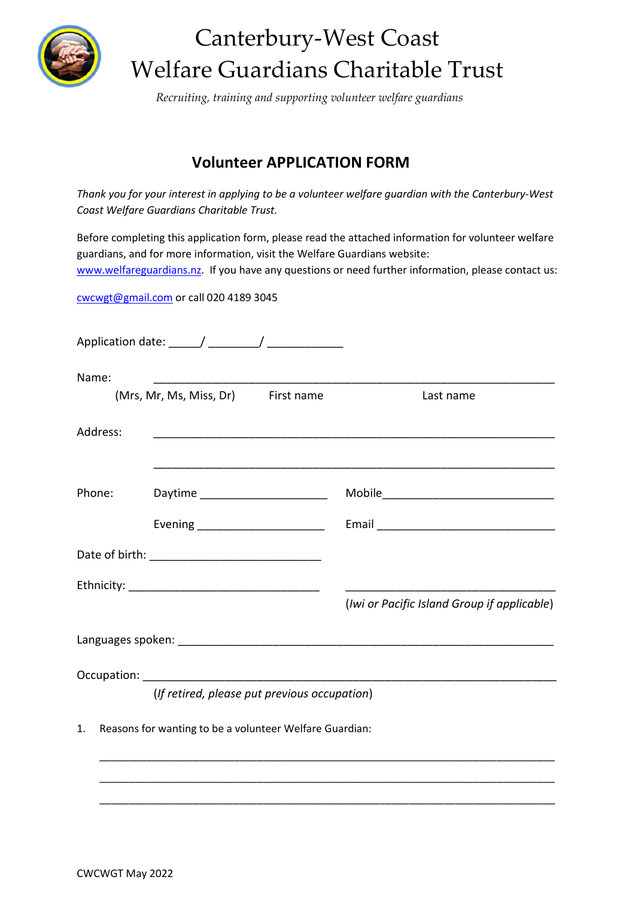

## Canterbury-West Coast Welfare Guardians Charitable Trust

*Recruiting, training and supporting volunteer welfare guardians*

## **Volunteer APPLICATION FORM**

*Thank you for your interest in applying to be a volunteer welfare guardian with the Canterbury-West Coast Welfare Guardians Charitable Trust.*

Before completing this application form, please read the attached information for volunteer welfare guardians, and for more information, visit the Welfare Guardians website: [www.welfareguardians.nz.](http://www.welfareguardians.nz/) If you have any questions or need further information, please contact us:

[cwcwgt@gmail.com](mailto:cwcwgt@gmail.com) or call 020 4189 3045

|          | Application date: \end{math} \]                         |                                             |
|----------|---------------------------------------------------------|---------------------------------------------|
| Name:    | (Mrs, Mr, Ms, Miss, Dr) First name                      | Last name                                   |
| Address: |                                                         |                                             |
| Phone:   | Daytime __________________________                      |                                             |
|          |                                                         |                                             |
|          |                                                         |                                             |
|          |                                                         |                                             |
|          |                                                         | (Iwi or Pacific Island Group if applicable) |
|          |                                                         |                                             |
|          |                                                         |                                             |
|          | (If retired, please put previous occupation)            |                                             |
| 1.       | Reasons for wanting to be a volunteer Welfare Guardian: |                                             |
|          |                                                         |                                             |
|          |                                                         |                                             |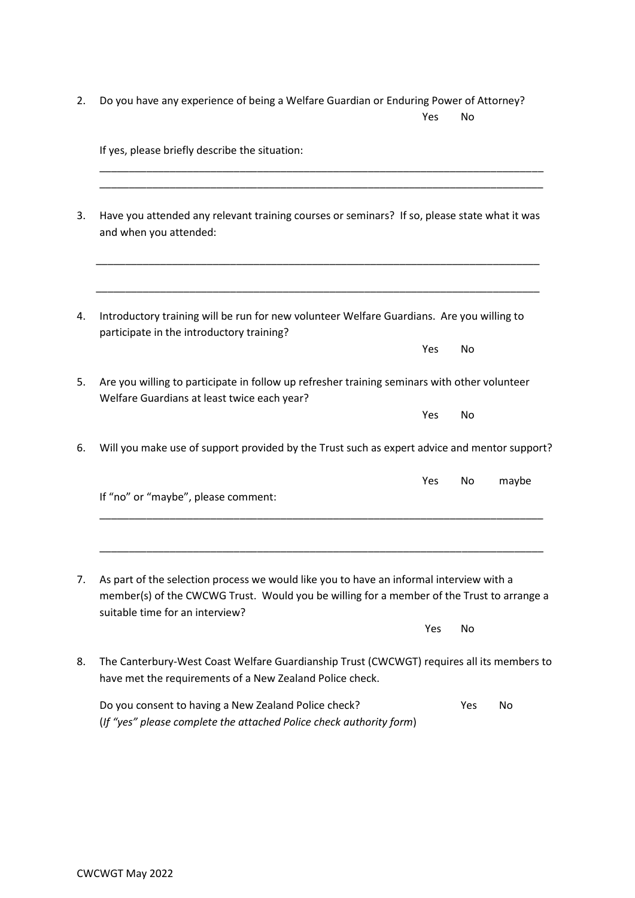| 2. Do you have any experience of being a Welfare Guardian or Enduring Power of Attorney? |        |  |
|------------------------------------------------------------------------------------------|--------|--|
|                                                                                          | Yes No |  |

|    | If yes, please briefly describe the situation:                                                                                                                                                                          |  |  |  |  |  |  |
|----|-------------------------------------------------------------------------------------------------------------------------------------------------------------------------------------------------------------------------|--|--|--|--|--|--|
| 3. | Have you attended any relevant training courses or seminars? If so, please state what it was<br>and when you attended:                                                                                                  |  |  |  |  |  |  |
| 4. | Introductory training will be run for new volunteer Welfare Guardians. Are you willing to<br>participate in the introductory training?                                                                                  |  |  |  |  |  |  |
|    | Yes<br>No                                                                                                                                                                                                               |  |  |  |  |  |  |
| 5. | Are you willing to participate in follow up refresher training seminars with other volunteer<br>Welfare Guardians at least twice each year?                                                                             |  |  |  |  |  |  |
|    | Yes<br>No.                                                                                                                                                                                                              |  |  |  |  |  |  |
| 6. | Will you make use of support provided by the Trust such as expert advice and mentor support?                                                                                                                            |  |  |  |  |  |  |
|    | No<br>maybe<br><b>Yes</b><br>If "no" or "maybe", please comment:                                                                                                                                                        |  |  |  |  |  |  |
|    |                                                                                                                                                                                                                         |  |  |  |  |  |  |
| 7. | As part of the selection process we would like you to have an informal interview with a<br>member(s) of the CWCWG Trust. Would you be willing for a member of the Trust to arrange a<br>suitable time for an interview? |  |  |  |  |  |  |
|    | Yes<br>No                                                                                                                                                                                                               |  |  |  |  |  |  |
| 8. | The Canterbury-West Coast Welfare Guardianship Trust (CWCWGT) requires all its members to<br>have met the requirements of a New Zealand Police check.                                                                   |  |  |  |  |  |  |

Do you consent to having a New Zealand Police check? The Yes No (*If "yes" please complete the attached Police check authority form*)